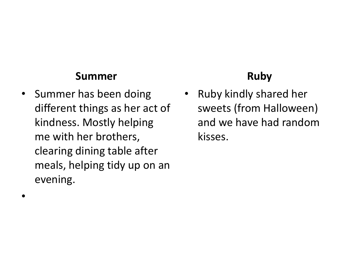#### **Summer**

• Summer has been doing different things as her act of kindness. Mostly helping me with her brothers, clearing dining table after meals, helping tidy up on an evening.

•

### **Ruby**

• Ruby kindly shared her sweets (from Halloween) and we have had random kisses.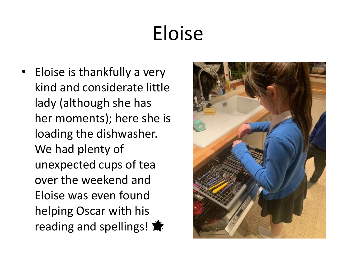# Eloise

• Eloise is thankfully a very kind and considerate little lady (although she has her moments); here she is loading the dishwasher. We had plenty of unexpected cups of tea over the weekend and Eloise was even found helping Oscar with his reading and spellings!

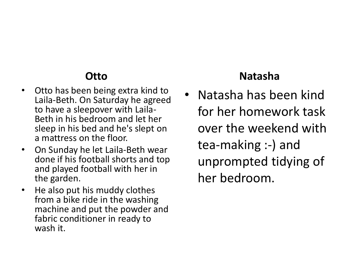### **Otto**

- Otto has been being extra kind to Laila-Beth. On Saturday he agreed to have a sleepover with Laila-Beth in his bedroom and let her sleep in his bed and he's slept on a mattress on the floor.
- On Sunday he let Laila-Beth wear done if his football shorts and top and played football with her in the garden.
- He also put his muddy clothes from a bike ride in the washing machine and put the powder and fabric conditioner in ready to wash it.

#### **Natasha**

• Natasha has been kind for her homework task over the weekend with tea-making :-) and unprompted tidying of her bedroom.